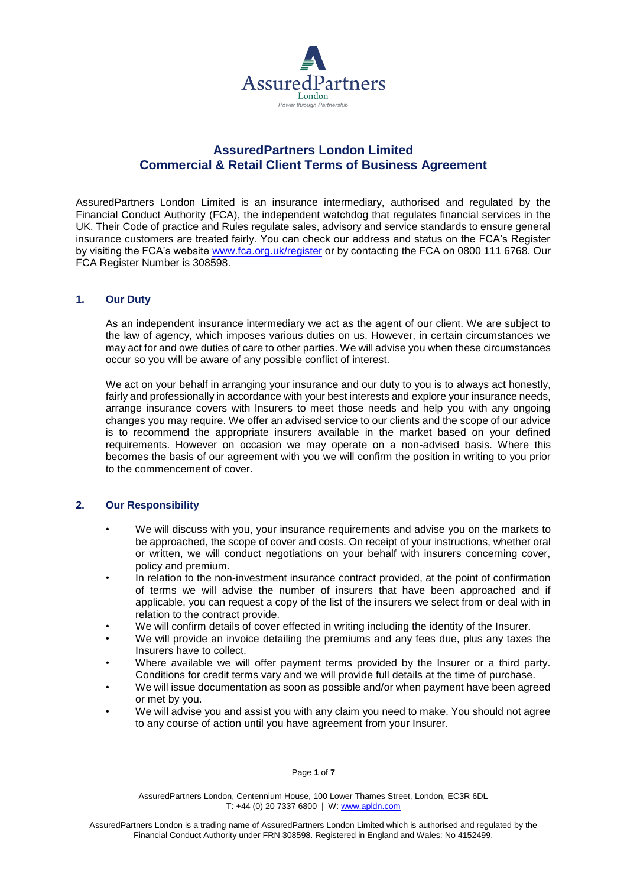

# **AssuredPartners London Limited Commercial & Retail Client Terms of Business Agreement**

AssuredPartners London Limited is an insurance intermediary, authorised and regulated by the Financial Conduct Authority (FCA), the independent watchdog that regulates financial services in the UK. Their Code of practice and Rules regulate sales, advisory and service standards to ensure general insurance customers are treated fairly. You can check our address and status on the FCA's Register by visiting the FCA's website [www.fca.org.uk/register](http://www.fca.org.uk/register) or by contacting the FCA on 0800 111 6768. Our FCA Register Number is 308598.

### **1. Our Duty**

As an independent insurance intermediary we act as the agent of our client. We are subject to the law of agency, which imposes various duties on us. However, in certain circumstances we may act for and owe duties of care to other parties. We will advise you when these circumstances occur so you will be aware of any possible conflict of interest.

We act on your behalf in arranging your insurance and our duty to you is to always act honestly, fairly and professionally in accordance with your best interests and explore your insurance needs, arrange insurance covers with Insurers to meet those needs and help you with any ongoing changes you may require. We offer an advised service to our clients and the scope of our advice is to recommend the appropriate insurers available in the market based on your defined requirements. However on occasion we may operate on a non-advised basis. Where this becomes the basis of our agreement with you we will confirm the position in writing to you prior to the commencement of cover.

## **2. Our Responsibility**

- We will discuss with you, your insurance requirements and advise you on the markets to be approached, the scope of cover and costs. On receipt of your instructions, whether oral or written, we will conduct negotiations on your behalf with insurers concerning cover, policy and premium.
- In relation to the non-investment insurance contract provided, at the point of confirmation of terms we will advise the number of insurers that have been approached and if applicable, you can request a copy of the list of the insurers we select from or deal with in relation to the contract provide.
- We will confirm details of cover effected in writing including the identity of the Insurer.
- We will provide an invoice detailing the premiums and any fees due, plus any taxes the Insurers have to collect.
- Where available we will offer payment terms provided by the Insurer or a third party. Conditions for credit terms vary and we will provide full details at the time of purchase.
- We will issue documentation as soon as possible and/or when payment have been agreed or met by you.
- We will advise you and assist you with any claim you need to make. You should not agree to any course of action until you have agreement from your Insurer.

#### Page **1** of **7**

AssuredPartners London, Centennium House, 100 Lower Thames Street, London, EC3R 6DL T: +44 (0) 20 7337 6800 | W: [www.apldn.com](http://www.apldn.com/)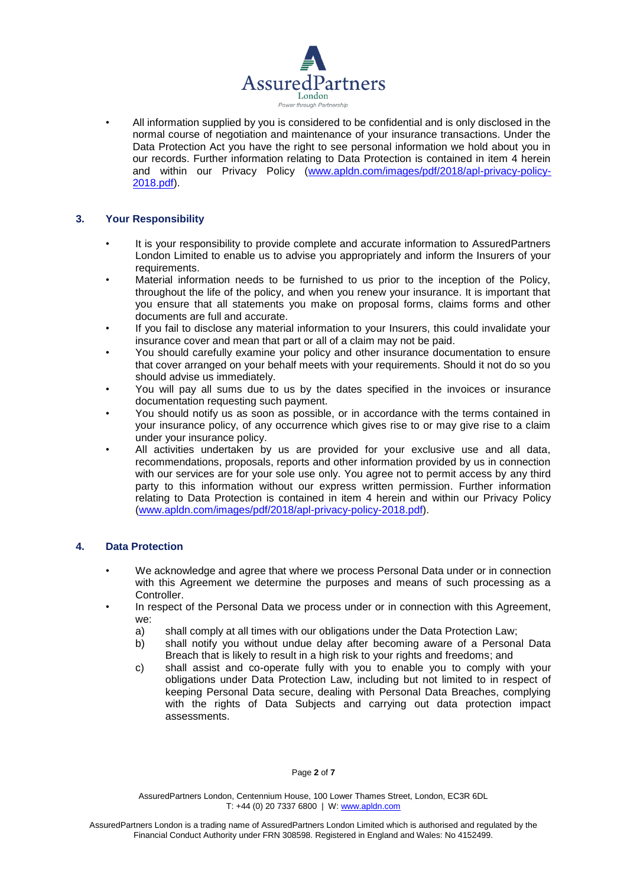

• All information supplied by you is considered to be confidential and is only disclosed in the normal course of negotiation and maintenance of your insurance transactions. Under the Data Protection Act you have the right to see personal information we hold about you in our records. Further information relating to Data Protection is contained in item 4 herein and within our Privacy Policy [\(www.apldn.com/images/pdf/2018/apl-privacy-policy-](http://www.apldn.com/images/pdf/2018/apl-privacy-policy-2018.pdf)[2018.pdf\)](http://www.apldn.com/images/pdf/2018/apl-privacy-policy-2018.pdf).

## **3. Your Responsibility**

- It is your responsibility to provide complete and accurate information to AssuredPartners London Limited to enable us to advise you appropriately and inform the Insurers of your requirements.
- Material information needs to be furnished to us prior to the inception of the Policy, throughout the life of the policy, and when you renew your insurance. It is important that you ensure that all statements you make on proposal forms, claims forms and other documents are full and accurate.
- If you fail to disclose any material information to your Insurers, this could invalidate your insurance cover and mean that part or all of a claim may not be paid.
- You should carefully examine your policy and other insurance documentation to ensure that cover arranged on your behalf meets with your requirements. Should it not do so you should advise us immediately.
- You will pay all sums due to us by the dates specified in the invoices or insurance documentation requesting such payment.
- You should notify us as soon as possible, or in accordance with the terms contained in your insurance policy, of any occurrence which gives rise to or may give rise to a claim under your insurance policy.
- All activities undertaken by us are provided for your exclusive use and all data, recommendations, proposals, reports and other information provided by us in connection with our services are for your sole use only. You agree not to permit access by any third party to this information without our express written permission. Further information relating to Data Protection is contained in item 4 herein and within our Privacy Policy [\(www.apldn.com/images/pdf/2018/apl-privacy-policy-2018.pdf\)](http://www.apldn.com/images/pdf/2018/apl-privacy-policy-2018.pdf).

### **4. Data Protection**

- We acknowledge and agree that where we process Personal Data under or in connection with this Agreement we determine the purposes and means of such processing as a Controller.
- In respect of the Personal Data we process under or in connection with this Agreement, we:
	- a) shall comply at all times with our obligations under the Data Protection Law;
	- b) shall notify you without undue delay after becoming aware of a Personal Data Breach that is likely to result in a high risk to your rights and freedoms; and
	- c) shall assist and co-operate fully with you to enable you to comply with your obligations under Data Protection Law, including but not limited to in respect of keeping Personal Data secure, dealing with Personal Data Breaches, complying with the rights of Data Subjects and carrying out data protection impact assessments.

Page **2** of **7**

AssuredPartners London, Centennium House, 100 Lower Thames Street, London, EC3R 6DL T: +44 (0) 20 7337 6800 | W: [www.apldn.com](http://www.apldn.com/)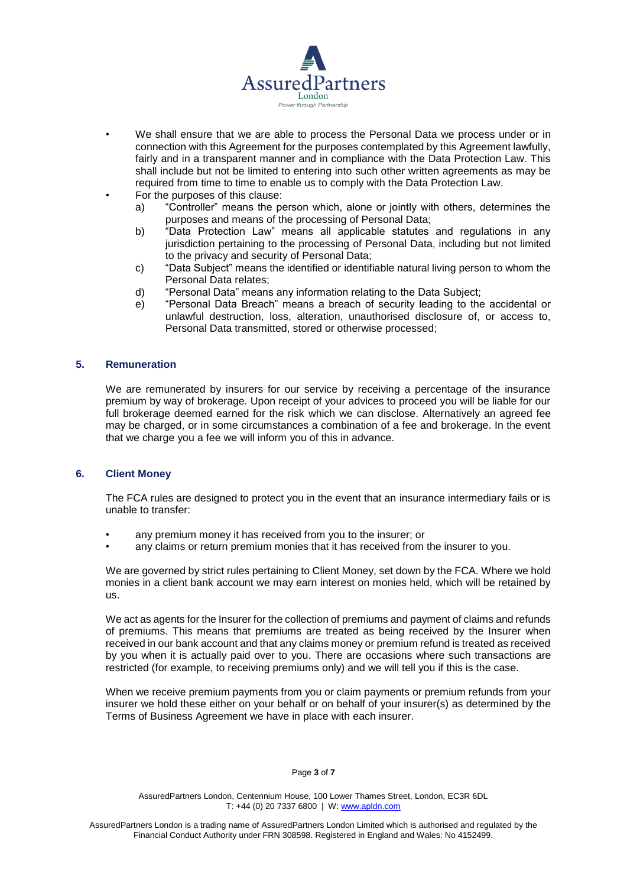

- We shall ensure that we are able to process the Personal Data we process under or in connection with this Agreement for the purposes contemplated by this Agreement lawfully, fairly and in a transparent manner and in compliance with the Data Protection Law. This shall include but not be limited to entering into such other written agreements as may be required from time to time to enable us to comply with the Data Protection Law.
- For the purposes of this clause:
	- a) "Controller" means the person which, alone or jointly with others, determines the purposes and means of the processing of Personal Data;
	- b) "Data Protection Law" means all applicable statutes and regulations in any jurisdiction pertaining to the processing of Personal Data, including but not limited to the privacy and security of Personal Data;
	- c) "Data Subject" means the identified or identifiable natural living person to whom the Personal Data relates;
	- d) "Personal Data" means any information relating to the Data Subject;
	- e) "Personal Data Breach" means a breach of security leading to the accidental or unlawful destruction, loss, alteration, unauthorised disclosure of, or access to, Personal Data transmitted, stored or otherwise processed;

### **5. Remuneration**

We are remunerated by insurers for our service by receiving a percentage of the insurance premium by way of brokerage. Upon receipt of your advices to proceed you will be liable for our full brokerage deemed earned for the risk which we can disclose. Alternatively an agreed fee may be charged, or in some circumstances a combination of a fee and brokerage. In the event that we charge you a fee we will inform you of this in advance.

### **6. Client Money**

The FCA rules are designed to protect you in the event that an insurance intermediary fails or is unable to transfer:

- any premium money it has received from you to the insurer; or
- any claims or return premium monies that it has received from the insurer to you.

We are governed by strict rules pertaining to Client Money, set down by the FCA. Where we hold monies in a client bank account we may earn interest on monies held, which will be retained by us.

We act as agents for the Insurer for the collection of premiums and payment of claims and refunds of premiums. This means that premiums are treated as being received by the Insurer when received in our bank account and that any claims money or premium refund is treated as received by you when it is actually paid over to you. There are occasions where such transactions are restricted (for example, to receiving premiums only) and we will tell you if this is the case.

When we receive premium payments from you or claim payments or premium refunds from your insurer we hold these either on your behalf or on behalf of your insurer(s) as determined by the Terms of Business Agreement we have in place with each insurer.

#### Page **3** of **7**

AssuredPartners London, Centennium House, 100 Lower Thames Street, London, EC3R 6DL T: +44 (0) 20 7337 6800 | W: [www.apldn.com](http://www.apldn.com/)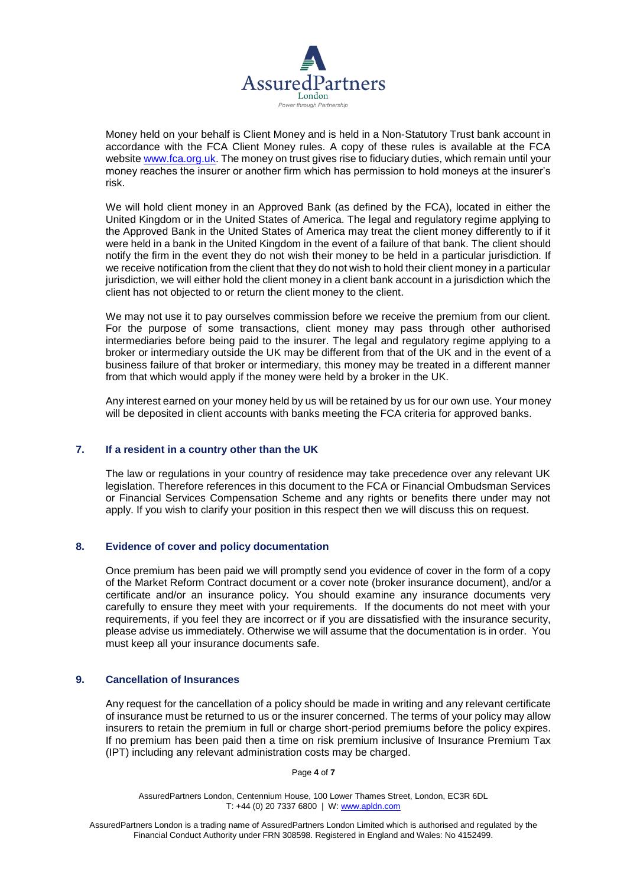

Money held on your behalf is Client Money and is held in a Non-Statutory Trust bank account in accordance with the FCA Client Money rules. A copy of these rules is available at the FCA websit[e www.fca.org.uk.](http://www.fca.org.uk/) The money on trust gives rise to fiduciary duties, which remain until your money reaches the insurer or another firm which has permission to hold moneys at the insurer's risk.

We will hold client money in an Approved Bank (as defined by the FCA), located in either the United Kingdom or in the United States of America. The legal and regulatory regime applying to the [Approved Bank](https://www.handbook.fca.org.uk/handbook/glossary/G56.html) in the United States of America may treat the client money differently to if it were held in a bank in the United Kingdom in the event of a failure of that bank. The [client](https://www.handbook.fca.org.uk/handbook/glossary/G156.html) should notify the [firm](https://www.handbook.fca.org.uk/handbook/glossary/G430.html) in the event they do not wish their [money](https://www.handbook.fca.org.uk/handbook/glossary/G725.html) to be held in a particular jurisdiction. If we receive notification from the client that they do not wish to hold their client money in a particular jurisdiction, we will either hold the client money in a client bank account in a jurisdiction which the client has not objected to or return the client money to the client.

We may not use it to pay ourselves commission before we receive the premium from our client. For the purpose of some transactions, client money may pass through other authorised intermediaries before being paid to the insurer. The legal and regulatory regime applying to a broker or intermediary outside the UK may be different from that of the UK and in the event of a business failure of that broker or intermediary, this money may be treated in a different manner from that which would apply if the money were held by a broker in the UK.

Any interest earned on your money held by us will be retained by us for our own use. Your money will be deposited in client accounts with banks meeting the FCA criteria for approved banks.

### **7. If a resident in a country other than the UK**

The law or regulations in your country of residence may take precedence over any relevant UK legislation. Therefore references in this document to the FCA or Financial Ombudsman Services or Financial Services Compensation Scheme and any rights or benefits there under may not apply. If you wish to clarify your position in this respect then we will discuss this on request.

### **8. Evidence of cover and policy documentation**

Once premium has been paid we will promptly send you evidence of cover in the form of a copy of the Market Reform Contract document or a cover note (broker insurance document), and/or a certificate and/or an insurance policy. You should examine any insurance documents very carefully to ensure they meet with your requirements. If the documents do not meet with your requirements, if you feel they are incorrect or if you are dissatisfied with the insurance security, please advise us immediately. Otherwise we will assume that the documentation is in order. You must keep all your insurance documents safe.

### **9. Cancellation of Insurances**

Any request for the cancellation of a policy should be made in writing and any relevant certificate of insurance must be returned to us or the insurer concerned. The terms of your policy may allow insurers to retain the premium in full or charge short-period premiums before the policy expires. If no premium has been paid then a time on risk premium inclusive of Insurance Premium Tax (IPT) including any relevant administration costs may be charged.

Page **4** of **7**

AssuredPartners London, Centennium House, 100 Lower Thames Street, London, EC3R 6DL T: +44 (0) 20 7337 6800 | W: [www.apldn.com](http://www.apldn.com/)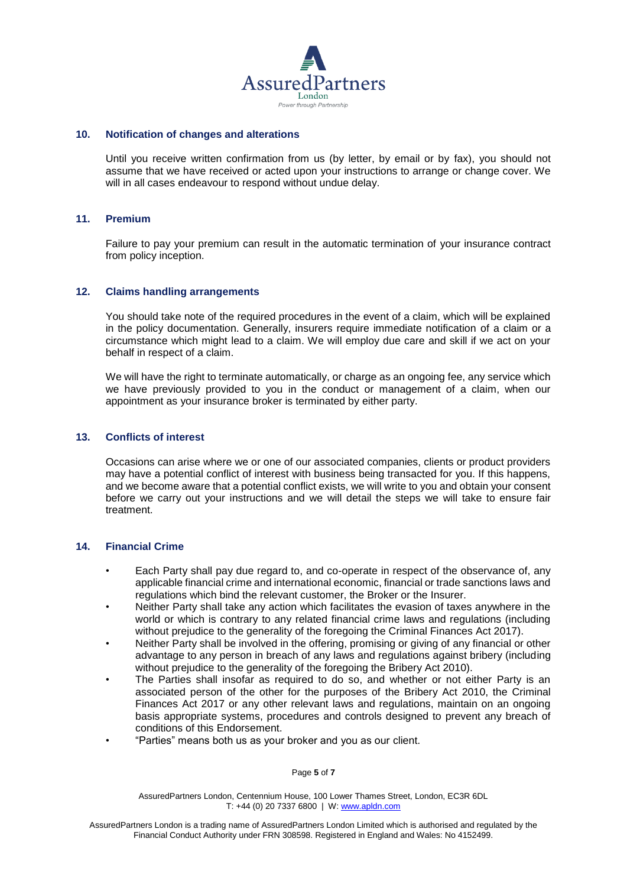

### **10. Notification of changes and alterations**

Until you receive written confirmation from us (by letter, by email or by fax), you should not assume that we have received or acted upon your instructions to arrange or change cover. We will in all cases endeavour to respond without undue delay.

#### **11. Premium**

Failure to pay your premium can result in the automatic termination of your insurance contract from policy inception.

#### **12. Claims handling arrangements**

You should take note of the required procedures in the event of a claim, which will be explained in the policy documentation. Generally, insurers require immediate notification of a claim or a circumstance which might lead to a claim. We will employ due care and skill if we act on your behalf in respect of a claim.

We will have the right to terminate automatically, or charge as an ongoing fee, any service which we have previously provided to you in the conduct or management of a claim, when our appointment as your insurance broker is terminated by either party.

#### **13. Conflicts of interest**

Occasions can arise where we or one of our associated companies, clients or product providers may have a potential conflict of interest with business being transacted for you. If this happens, and we become aware that a potential conflict exists, we will write to you and obtain your consent before we carry out your instructions and we will detail the steps we will take to ensure fair treatment.

#### **14. Financial Crime**

- Each Party shall pay due regard to, and co-operate in respect of the observance of, any applicable financial crime and international economic, financial or trade sanctions laws and regulations which bind the relevant customer, the Broker or the Insurer.
- Neither Party shall take any action which facilitates the evasion of taxes anywhere in the world or which is contrary to any related financial crime laws and regulations (including without prejudice to the generality of the foregoing the Criminal Finances Act 2017).
- Neither Party shall be involved in the offering, promising or giving of any financial or other advantage to any person in breach of any laws and regulations against bribery (including without prejudice to the generality of the foregoing the Bribery Act 2010).
- The Parties shall insofar as required to do so, and whether or not either Party is an associated person of the other for the purposes of the Bribery Act 2010, the Criminal Finances Act 2017 or any other relevant laws and regulations, maintain on an ongoing basis appropriate systems, procedures and controls designed to prevent any breach of conditions of this Endorsement.
- "Parties" means both us as your broker and you as our client.

#### Page **5** of **7**

AssuredPartners London, Centennium House, 100 Lower Thames Street, London, EC3R 6DL T: +44 (0) 20 7337 6800 | W: [www.apldn.com](http://www.apldn.com/)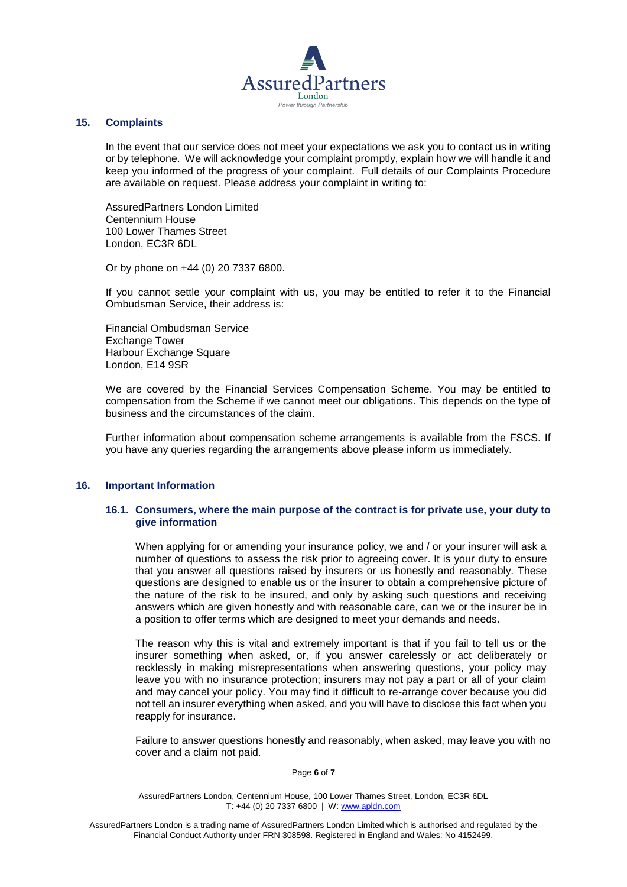

### **15. Complaints**

In the event that our service does not meet your expectations we ask you to contact us in writing or by telephone. We will acknowledge your complaint promptly, explain how we will handle it and keep you informed of the progress of your complaint. Full details of our Complaints Procedure are available on request. Please address your complaint in writing to:

AssuredPartners London Limited Centennium House 100 Lower Thames Street London, EC3R 6DL

Or by phone on +44 (0) 20 7337 6800.

If you cannot settle your complaint with us, you may be entitled to refer it to the Financial Ombudsman Service, their address is:

Financial Ombudsman Service Exchange Tower Harbour Exchange Square London, E14 9SR

We are covered by the Financial Services Compensation Scheme. You may be entitled to compensation from the Scheme if we cannot meet our obligations. This depends on the type of business and the circumstances of the claim.

Further information about compensation scheme arrangements is available from the FSCS. If you have any queries regarding the arrangements above please inform us immediately.

### **16. Important Information**

### **16.1. Consumers, where the main purpose of the contract is for private use, your duty to give information**

When applying for or amending your insurance policy, we and / or your insurer will ask a number of questions to assess the risk prior to agreeing cover. It is your duty to ensure that you answer all questions raised by insurers or us honestly and reasonably. These questions are designed to enable us or the insurer to obtain a comprehensive picture of the nature of the risk to be insured, and only by asking such questions and receiving answers which are given honestly and with reasonable care, can we or the insurer be in a position to offer terms which are designed to meet your demands and needs.

The reason why this is vital and extremely important is that if you fail to tell us or the insurer something when asked, or, if you answer carelessly or act deliberately or recklessly in making misrepresentations when answering questions, your policy may leave you with no insurance protection; insurers may not pay a part or all of your claim and may cancel your policy. You may find it difficult to re-arrange cover because you did not tell an insurer everything when asked, and you will have to disclose this fact when you reapply for insurance.

Failure to answer questions honestly and reasonably, when asked, may leave you with no cover and a claim not paid.

#### Page **6** of **7**

AssuredPartners London, Centennium House, 100 Lower Thames Street, London, EC3R 6DL T: +44 (0) 20 7337 6800 | W: [www.apldn.com](http://www.apldn.com/)